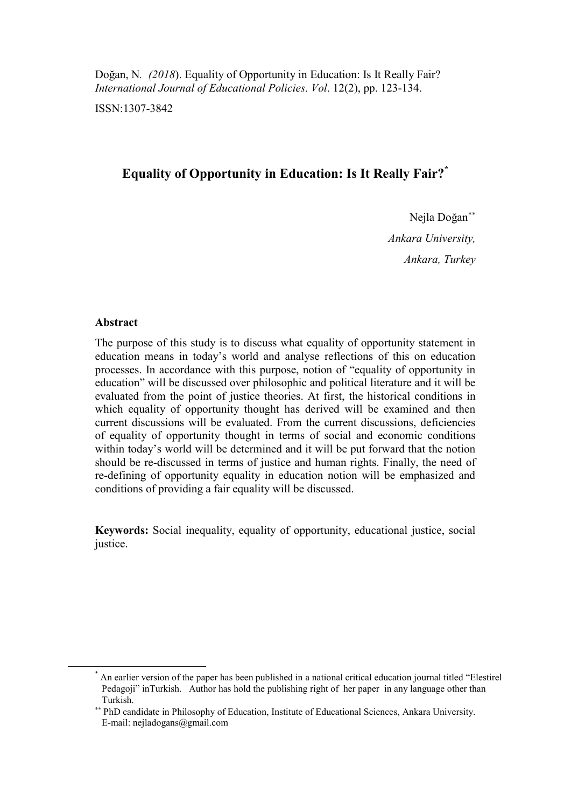Doğan, N*. (2018*). Equality of Opportunity in Education: Is It Really Fair? *International Journal of Educational Policies. Vol*. 12(2), pp. 123-134.

ISSN:1307-3842

# **Equality of Opportunity in Education: Is It Really Fair?\***

Nejla Doğan *Ankara University, Ankara, Turkey*

### **Abstract**

**.** 

The purpose of this study is to discuss what equality of opportunity statement in education means in today's world and analyse reflections of this on education processes. In accordance with this purpose, notion of "equality of opportunity in education" will be discussed over philosophic and political literature and it will be evaluated from the point of justice theories. At first, the historical conditions in which equality of opportunity thought has derived will be examined and then current discussions will be evaluated. From the current discussions, deficiencies of equality of opportunity thought in terms of social and economic conditions within today's world will be determined and it will be put forward that the notion should be re-discussed in terms of justice and human rights. Finally, the need of re-defining of opportunity equality in education notion will be emphasized and conditions of providing a fair equality will be discussed.

**Keywords:** Social inequality, equality of opportunity, educational justice, social justice.

<sup>\*</sup> An earlier version of the paper has been published in a national critical education journal titled "Elestirel Pedagoji" inTurkish. Author has hold the publishing right of her paper in any language other than Turkish.

PhD candidate in Philosophy of Education, Institute of Educational Sciences, Ankara University. E-mail: [nejladogans@gmail.com](mailto:nejladogans@gmail.com)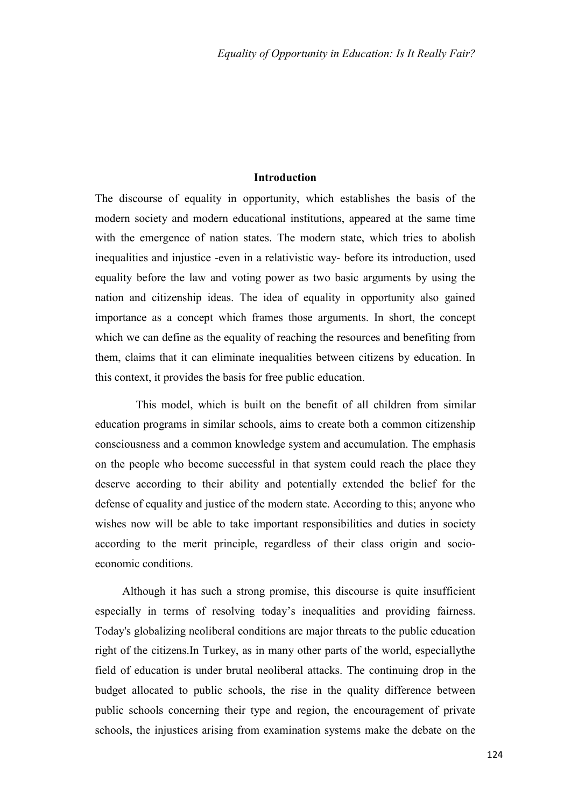## **Introduction**

The discourse of equality in opportunity, which establishes the basis of the modern society and modern educational institutions, appeared at the same time with the emergence of nation states. The modern state, which tries to abolish inequalities and injustice -even in a relativistic way- before its introduction, used equality before the law and voting power as two basic arguments by using the nation and citizenship ideas. The idea of equality in opportunity also gained importance as a concept which frames those arguments. In short, the concept which we can define as the equality of reaching the resources and benefiting from them, claims that it can eliminate inequalities between citizens by education. In this context, it provides the basis for free public education.

This model, which is built on the benefit of all children from similar education programs in similar schools, aims to create both a common citizenship consciousness and a common knowledge system and accumulation. The emphasis on the people who become successful in that system could reach the place they deserve according to their ability and potentially extended the belief for the defense of equality and justice of the modern state. According to this; anyone who wishes now will be able to take important responsibilities and duties in society according to the merit principle, regardless of their class origin and socioeconomic conditions.

Although it has such a strong promise, this discourse is quite insufficient especially in terms of resolving today's inequalities and providing fairness. Today's globalizing neoliberal conditions are major threats to the public education right of the citizens.In Turkey, as in many other parts of the world, especiallythe field of education is under brutal neoliberal attacks. The continuing drop in the budget allocated to public schools, the rise in the quality difference between public schools concerning their type and region, the encouragement of private schools, the injustices arising from examination systems make the debate on the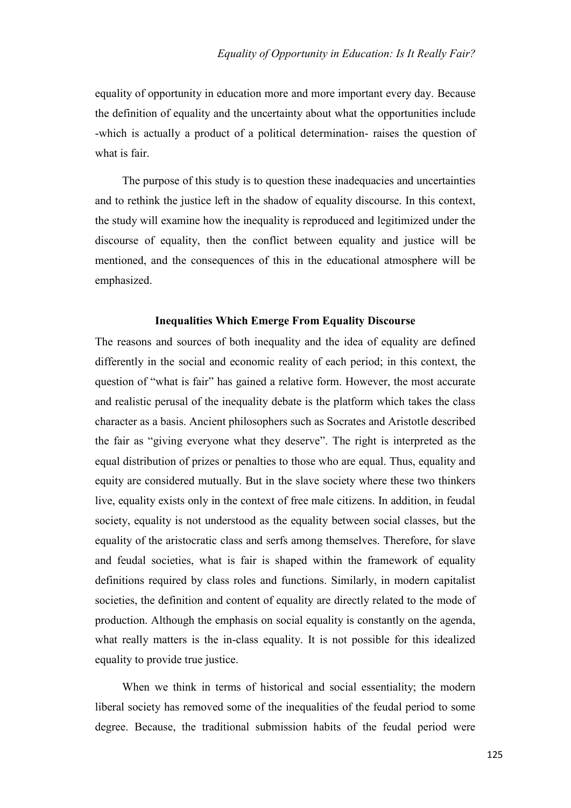equality of opportunity in education more and more important every day. Because the definition of equality and the uncertainty about what the opportunities include -which is actually a product of a political determination- raises the question of what is fair.

The purpose of this study is to question these inadequacies and uncertainties and to rethink the justice left in the shadow of equality discourse. In this context, the study will examine how the inequality is reproduced and legitimized under the discourse of equality, then the conflict between equality and justice will be mentioned, and the consequences of this in the educational atmosphere will be emphasized.

#### **Inequalities Which Emerge From Equality Discourse**

The reasons and sources of both inequality and the idea of equality are defined differently in the social and economic reality of each period; in this context, the question of "what is fair" has gained a relative form. However, the most accurate and realistic perusal of the inequality debate is the platform which takes the class character as a basis. Ancient philosophers such as Socrates and Aristotle described the fair as "giving everyone what they deserve". The right is interpreted as the equal distribution of prizes or penalties to those who are equal. Thus, equality and equity are considered mutually. But in the slave society where these two thinkers live, equality exists only in the context of free male citizens. In addition, in feudal society, equality is not understood as the equality between social classes, but the equality of the aristocratic class and serfs among themselves. Therefore, for slave and feudal societies, what is fair is shaped within the framework of equality definitions required by class roles and functions. Similarly, in modern capitalist societies, the definition and content of equality are directly related to the mode of production. Although the emphasis on social equality is constantly on the agenda, what really matters is the in-class equality. It is not possible for this idealized equality to provide true justice.

When we think in terms of historical and social essentiality; the modern liberal society has removed some of the inequalities of the feudal period to some degree. Because, the traditional submission habits of the feudal period were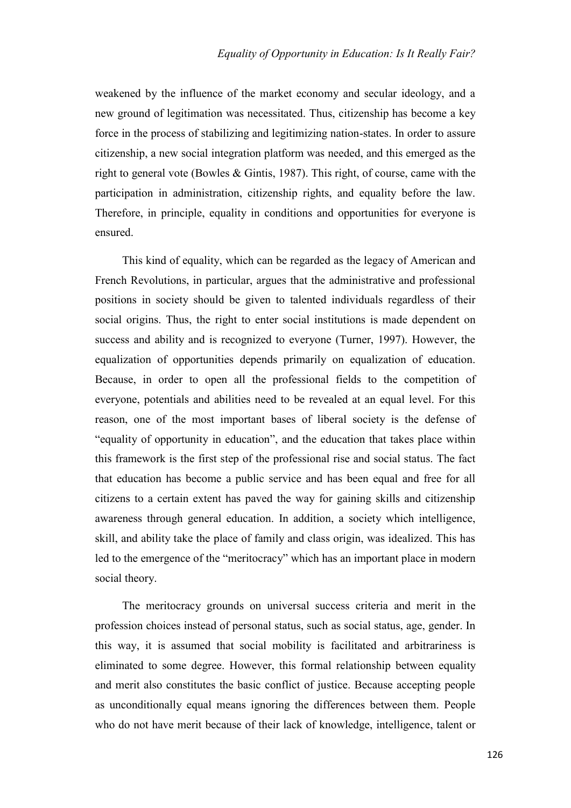weakened by the influence of the market economy and secular ideology, and a new ground of legitimation was necessitated. Thus, citizenship has become a key force in the process of stabilizing and legitimizing nation-states. In order to assure citizenship, a new social integration platform was needed, and this emerged as the right to general vote (Bowles & Gintis, 1987). This right, of course, came with the participation in administration, citizenship rights, and equality before the law. Therefore, in principle, equality in conditions and opportunities for everyone is ensured.

This kind of equality, which can be regarded as the legacy of American and French Revolutions, in particular, argues that the administrative and professional positions in society should be given to talented individuals regardless of their social origins. Thus, the right to enter social institutions is made dependent on success and ability and is recognized to everyone (Turner, 1997). However, the equalization of opportunities depends primarily on equalization of education. Because, in order to open all the professional fields to the competition of everyone, potentials and abilities need to be revealed at an equal level. For this reason, one of the most important bases of liberal society is the defense of "equality of opportunity in education", and the education that takes place within this framework is the first step of the professional rise and social status. The fact that education has become a public service and has been equal and free for all citizens to a certain extent has paved the way for gaining skills and citizenship awareness through general education. In addition, a society which intelligence, skill, and ability take the place of family and class origin, was idealized. This has led to the emergence of the "meritocracy" which has an important place in modern social theory.

The meritocracy grounds on universal success criteria and merit in the profession choices instead of personal status, such as social status, age, gender. In this way, it is assumed that social mobility is facilitated and arbitrariness is eliminated to some degree. However, this formal relationship between equality and merit also constitutes the basic conflict of justice. Because accepting people as unconditionally equal means ignoring the differences between them. People who do not have merit because of their lack of knowledge, intelligence, talent or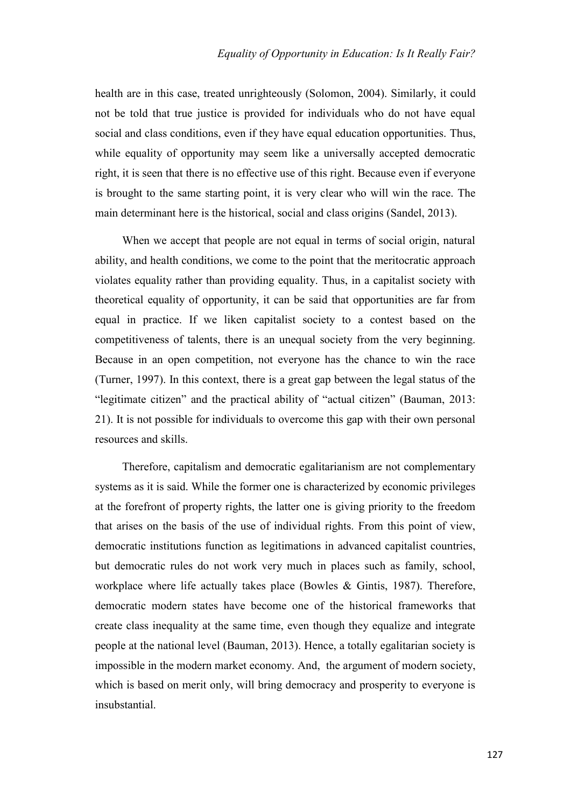health are in this case, treated unrighteously (Solomon, 2004). Similarly, it could not be told that true justice is provided for individuals who do not have equal social and class conditions, even if they have equal education opportunities. Thus, while equality of opportunity may seem like a universally accepted democratic right, it is seen that there is no effective use of this right. Because even if everyone is brought to the same starting point, it is very clear who will win the race. The main determinant here is the historical, social and class origins (Sandel, 2013).

When we accept that people are not equal in terms of social origin, natural ability, and health conditions, we come to the point that the meritocratic approach violates equality rather than providing equality. Thus, in a capitalist society with theoretical equality of opportunity, it can be said that opportunities are far from equal in practice. If we liken capitalist society to a contest based on the competitiveness of talents, there is an unequal society from the very beginning. Because in an open competition, not everyone has the chance to win the race (Turner, 1997). In this context, there is a great gap between the legal status of the "legitimate citizen" and the practical ability of "actual citizen" (Bauman, 2013: 21). It is not possible for individuals to overcome this gap with their own personal resources and skills.

Therefore, capitalism and democratic egalitarianism are not complementary systems as it is said. While the former one is characterized by economic privileges at the forefront of property rights, the latter one is giving priority to the freedom that arises on the basis of the use of individual rights. From this point of view, democratic institutions function as legitimations in advanced capitalist countries, but democratic rules do not work very much in places such as family, school, workplace where life actually takes place (Bowles & Gintis, 1987). Therefore, democratic modern states have become one of the historical frameworks that create class inequality at the same time, even though they equalize and integrate people at the national level (Bauman, 2013). Hence, a totally egalitarian society is impossible in the modern market economy. And, the argument of modern society, which is based on merit only, will bring democracy and prosperity to everyone is insubstantial.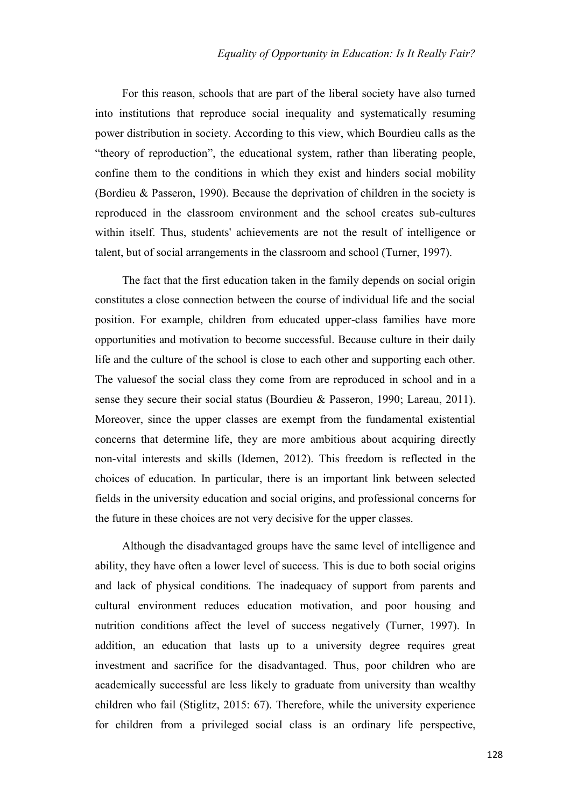For this reason, schools that are part of the liberal society have also turned into institutions that reproduce social inequality and systematically resuming power distribution in society. According to this view, which Bourdieu calls as the "theory of reproduction", the educational system, rather than liberating people, confine them to the conditions in which they exist and hinders social mobility (Bordieu & Passeron, 1990). Because the deprivation of children in the society is reproduced in the classroom environment and the school creates sub-cultures within itself. Thus, students' achievements are not the result of intelligence or talent, but of social arrangements in the classroom and school (Turner, 1997).

The fact that the first education taken in the family depends on social origin constitutes a close connection between the course of individual life and the social position. For example, children from educated upper-class families have more opportunities and motivation to become successful. Because culture in their daily life and the culture of the school is close to each other and supporting each other. The valuesof the social class they come from are reproduced in school and in a sense they secure their social status (Bourdieu & Passeron, 1990; Lareau, 2011). Moreover, since the upper classes are exempt from the fundamental existential concerns that determine life, they are more ambitious about acquiring directly non-vital interests and skills (Idemen, 2012). This freedom is reflected in the choices of education. In particular, there is an important link between selected fields in the university education and social origins, and professional concerns for the future in these choices are not very decisive for the upper classes.

Although the disadvantaged groups have the same level of intelligence and ability, they have often a lower level of success. This is due to both social origins and lack of physical conditions. The inadequacy of support from parents and cultural environment reduces education motivation, and poor housing and nutrition conditions affect the level of success negatively (Turner, 1997). In addition, an education that lasts up to a university degree requires great investment and sacrifice for the disadvantaged. Thus, poor children who are academically successful are less likely to graduate from university than wealthy children who fail (Stiglitz, 2015: 67). Therefore, while the university experience for children from a privileged social class is an ordinary life perspective,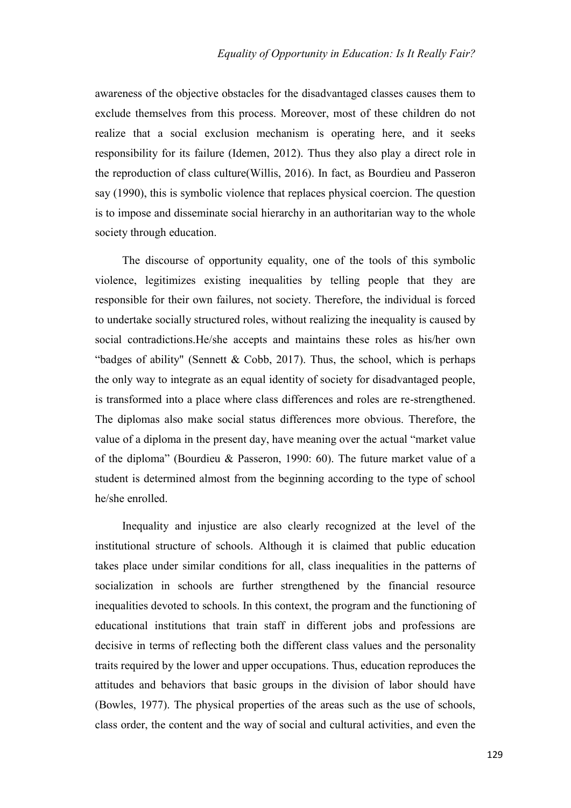awareness of the objective obstacles for the disadvantaged classes causes them to exclude themselves from this process. Moreover, most of these children do not realize that a social exclusion mechanism is operating here, and it seeks responsibility for its failure (Idemen, 2012). Thus they also play a direct role in the reproduction of class culture(Willis, 2016). In fact, as Bourdieu and Passeron say (1990), this is symbolic violence that replaces physical coercion. The question is to impose and disseminate social hierarchy in an authoritarian way to the whole society through education.

The discourse of opportunity equality, one of the tools of this symbolic violence, legitimizes existing inequalities by telling people that they are responsible for their own failures, not society. Therefore, the individual is forced to undertake socially structured roles, without realizing the inequality is caused by social contradictions.He/she accepts and maintains these roles as his/her own "badges of ability" (Sennett & Cobb, 2017). Thus, the school, which is perhaps the only way to integrate as an equal identity of society for disadvantaged people, is transformed into a place where class differences and roles are re-strengthened. The diplomas also make social status differences more obvious. Therefore, the value of a diploma in the present day, have meaning over the actual "market value of the diploma" (Bourdieu & Passeron, 1990: 60). The future market value of a student is determined almost from the beginning according to the type of school he/she enrolled.

Inequality and injustice are also clearly recognized at the level of the institutional structure of schools. Although it is claimed that public education takes place under similar conditions for all, class inequalities in the patterns of socialization in schools are further strengthened by the financial resource inequalities devoted to schools. In this context, the program and the functioning of educational institutions that train staff in different jobs and professions are decisive in terms of reflecting both the different class values and the personality traits required by the lower and upper occupations. Thus, education reproduces the attitudes and behaviors that basic groups in the division of labor should have (Bowles, 1977). The physical properties of the areas such as the use of schools, class order, the content and the way of social and cultural activities, and even the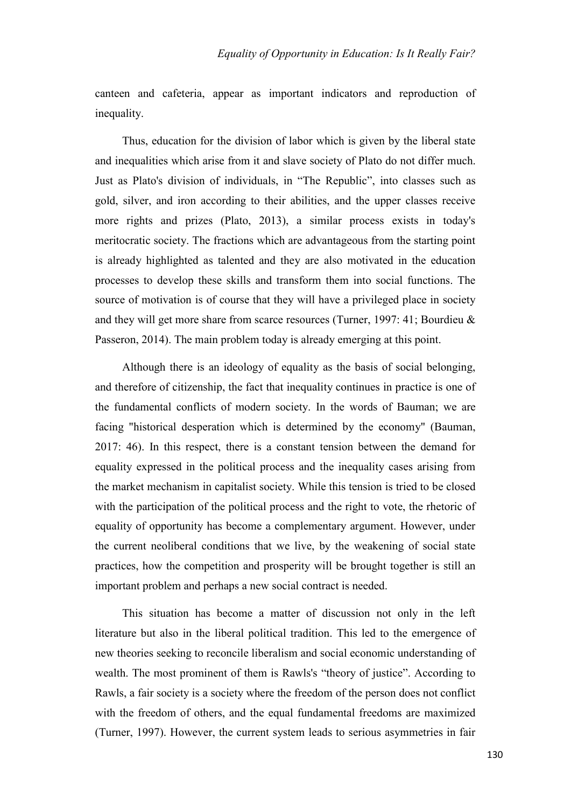canteen and cafeteria, appear as important indicators and reproduction of inequality.

Thus, education for the division of labor which is given by the liberal state and inequalities which arise from it and slave society of Plato do not differ much. Just as Plato's division of individuals, in "The Republic", into classes such as gold, silver, and iron according to their abilities, and the upper classes receive more rights and prizes (Plato, 2013), a similar process exists in today's meritocratic society. The fractions which are advantageous from the starting point is already highlighted as talented and they are also motivated in the education processes to develop these skills and transform them into social functions. The source of motivation is of course that they will have a privileged place in society and they will get more share from scarce resources (Turner, 1997: 41; Bourdieu & Passeron, 2014). The main problem today is already emerging at this point.

Although there is an ideology of equality as the basis of social belonging, and therefore of citizenship, the fact that inequality continues in practice is one of the fundamental conflicts of modern society. In the words of Bauman; we are facing "historical desperation which is determined by the economy" (Bauman, 2017: 46). In this respect, there is a constant tension between the demand for equality expressed in the political process and the inequality cases arising from the market mechanism in capitalist society. While this tension is tried to be closed with the participation of the political process and the right to vote, the rhetoric of equality of opportunity has become a complementary argument. However, under the current neoliberal conditions that we live, by the weakening of social state practices, how the competition and prosperity will be brought together is still an important problem and perhaps a new social contract is needed.

This situation has become a matter of discussion not only in the left literature but also in the liberal political tradition. This led to the emergence of new theories seeking to reconcile liberalism and social economic understanding of wealth. The most prominent of them is Rawls's "theory of justice". According to Rawls, a fair society is a society where the freedom of the person does not conflict with the freedom of others, and the equal fundamental freedoms are maximized (Turner, 1997). However, the current system leads to serious asymmetries in fair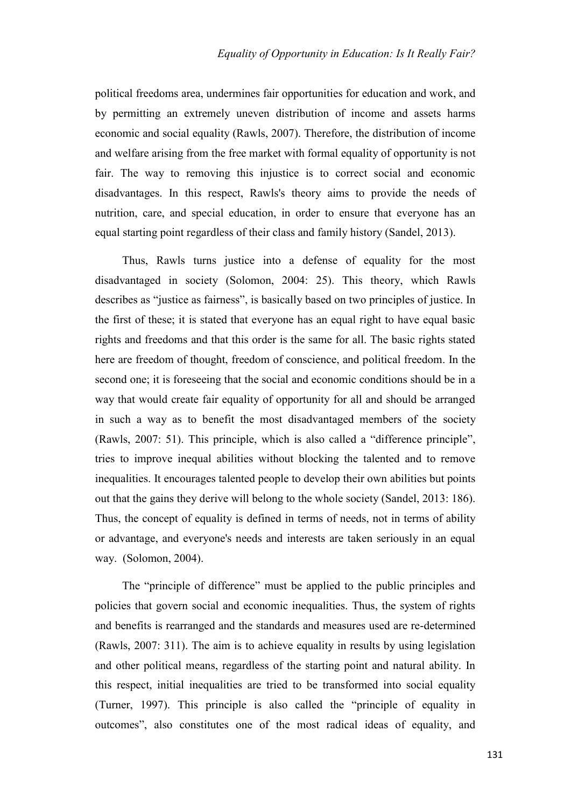political freedoms area, undermines fair opportunities for education and work, and by permitting an extremely uneven distribution of income and assets harms economic and social equality (Rawls, 2007). Therefore, the distribution of income and welfare arising from the free market with formal equality of opportunity is not fair. The way to removing this injustice is to correct social and economic disadvantages. In this respect, Rawls's theory aims to provide the needs of nutrition, care, and special education, in order to ensure that everyone has an equal starting point regardless of their class and family history (Sandel, 2013).

Thus, Rawls turns justice into a defense of equality for the most disadvantaged in society (Solomon, 2004: 25). This theory, which Rawls describes as "justice as fairness", is basically based on two principles of justice. In the first of these; it is stated that everyone has an equal right to have equal basic rights and freedoms and that this order is the same for all. The basic rights stated here are freedom of thought, freedom of conscience, and political freedom. In the second one; it is foreseeing that the social and economic conditions should be in a way that would create fair equality of opportunity for all and should be arranged in such a way as to benefit the most disadvantaged members of the society (Rawls, 2007: 51). This principle, which is also called a "difference principle", tries to improve inequal abilities without blocking the talented and to remove inequalities. It encourages talented people to develop their own abilities but points out that the gains they derive will belong to the whole society (Sandel, 2013: 186). Thus, the concept of equality is defined in terms of needs, not in terms of ability or advantage, and everyone's needs and interests are taken seriously in an equal way. (Solomon, 2004).

The "principle of difference" must be applied to the public principles and policies that govern social and economic inequalities. Thus, the system of rights and benefits is rearranged and the standards and measures used are re-determined (Rawls, 2007: 311). The aim is to achieve equality in results by using legislation and other political means, regardless of the starting point and natural ability. In this respect, initial inequalities are tried to be transformed into social equality (Turner, 1997). This principle is also called the "principle of equality in outcomes", also constitutes one of the most radical ideas of equality, and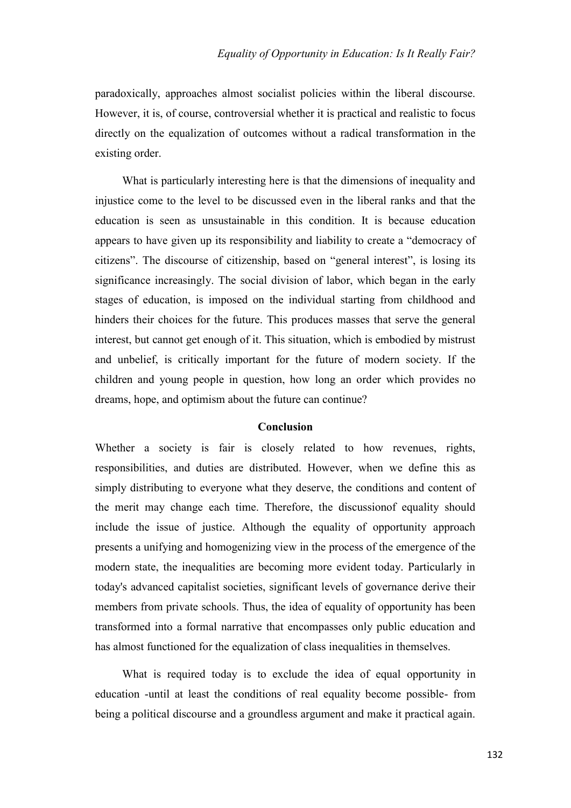paradoxically, approaches almost socialist policies within the liberal discourse. However, it is, of course, controversial whether it is practical and realistic to focus directly on the equalization of outcomes without a radical transformation in the existing order.

What is particularly interesting here is that the dimensions of inequality and injustice come to the level to be discussed even in the liberal ranks and that the education is seen as unsustainable in this condition. It is because education appears to have given up its responsibility and liability to create a "democracy of citizens". The discourse of citizenship, based on "general interest", is losing its significance increasingly. The social division of labor, which began in the early stages of education, is imposed on the individual starting from childhood and hinders their choices for the future. This produces masses that serve the general interest, but cannot get enough of it. This situation, which is embodied by mistrust and unbelief, is critically important for the future of modern society. If the children and young people in question, how long an order which provides no dreams, hope, and optimism about the future can continue?

## **Conclusion**

Whether a society is fair is closely related to how revenues, rights, responsibilities, and duties are distributed. However, when we define this as simply distributing to everyone what they deserve, the conditions and content of the merit may change each time. Therefore, the discussionof equality should include the issue of justice. Although the equality of opportunity approach presents a unifying and homogenizing view in the process of the emergence of the modern state, the inequalities are becoming more evident today. Particularly in today's advanced capitalist societies, significant levels of governance derive their members from private schools. Thus, the idea of equality of opportunity has been transformed into a formal narrative that encompasses only public education and has almost functioned for the equalization of class inequalities in themselves.

What is required today is to exclude the idea of equal opportunity in education -until at least the conditions of real equality become possible- from being a political discourse and a groundless argument and make it practical again.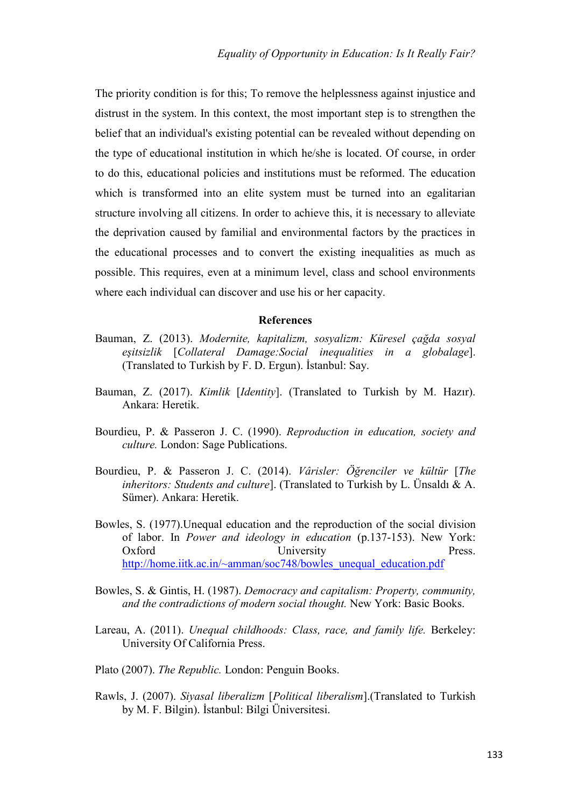The priority condition is for this; To remove the helplessness against injustice and distrust in the system. In this context, the most important step is to strengthen the belief that an individual's existing potential can be revealed without depending on the type of educational institution in which he/she is located. Of course, in order to do this, educational policies and institutions must be reformed. The education which is transformed into an elite system must be turned into an egalitarian structure involving all citizens. In order to achieve this, it is necessary to alleviate the deprivation caused by familial and environmental factors by the practices in the educational processes and to convert the existing inequalities as much as possible. This requires, even at a minimum level, class and school environments where each individual can discover and use his or her capacity.

#### **References**

- Bauman, Z. (2013). *Modernite, kapitalizm, sosyalizm: Küresel çağda sosyal eşitsizlik* [*Collateral Damage:Social inequalities in a globalage*]. (Translated to Turkish by F. D. Ergun). İstanbul: Say.
- Bauman, Z. (2017). *Kimlik* [*Identity*]. (Translated to Turkish by M. Hazır). Ankara: Heretik.
- Bourdieu, P. & Passeron J. C. (1990). *Reproduction in education, society and culture.* London: Sage Publications.
- Bourdieu, P. & Passeron J. C. (2014). *Vârisler: Öğrenciler ve kültür* [*The inheritors: Students and culture*]. (Translated to Turkish by L. Ünsaldı & A. Sümer). Ankara: Heretik.
- Bowles, S. (1977).Unequal education and the reproduction of the social division of labor. In *Power and ideology in education* (p.137-153). New York: Oxford University Press. [http://home.iitk.ac.in/~amman/soc748/bowles\\_unequal\\_education.pdf](http://home.iitk.ac.in/~amman/soc748/bowles_unequal_education.pdf)
- Bowles, S. & Gintis, H. (1987). *Democracy and capitalism: Property, community, and the contradictions of modern social thought.* New York: Basic Books.
- Lareau, A. (2011). *Unequal childhoods: Class, race, and family life.* Berkeley: University Of California Press.
- Plato (2007). *The Republic.* London: Penguin Books.
- Rawls, J. (2007). *Siyasal liberalizm* [*Political liberalism*].(Translated to Turkish by M. F. Bilgin). İstanbul: Bilgi Üniversitesi.